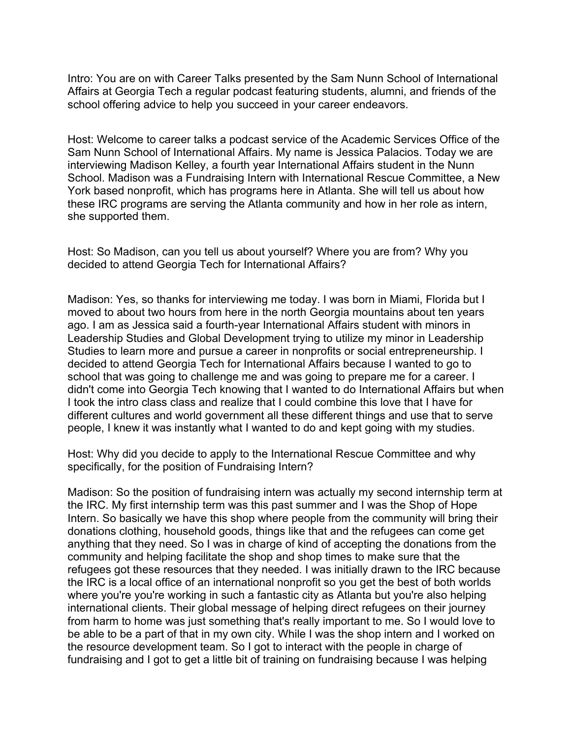Intro: You are on with Career Talks presented by the Sam Nunn School of International Affairs at Georgia Tech a regular podcast featuring students, alumni, and friends of the school offering advice to help you succeed in your career endeavors.

Host: Welcome to career talks a podcast service of the Academic Services Office of the Sam Nunn School of International Affairs. My name is Jessica Palacios. Today we are interviewing Madison Kelley, a fourth year International Affairs student in the Nunn School. Madison was a Fundraising Intern with International Rescue Committee, a New York based nonprofit, which has programs here in Atlanta. She will tell us about how these IRC programs are serving the Atlanta community and how in her role as intern, she supported them.

Host: So Madison, can you tell us about yourself? Where you are from? Why you decided to attend Georgia Tech for International Affairs?

Madison: Yes, so thanks for interviewing me today. I was born in Miami, Florida but I moved to about two hours from here in the north Georgia mountains about ten years ago. I am as Jessica said a fourth-year International Affairs student with minors in Leadership Studies and Global Development trying to utilize my minor in Leadership Studies to learn more and pursue a career in nonprofits or social entrepreneurship. I decided to attend Georgia Tech for International Affairs because I wanted to go to school that was going to challenge me and was going to prepare me for a career. I didn't come into Georgia Tech knowing that I wanted to do International Affairs but when I took the intro class class and realize that I could combine this love that I have for different cultures and world government all these different things and use that to serve people, I knew it was instantly what I wanted to do and kept going with my studies.

Host: Why did you decide to apply to the International Rescue Committee and why specifically, for the position of Fundraising Intern?

Madison: So the position of fundraising intern was actually my second internship term at the IRC. My first internship term was this past summer and I was the Shop of Hope Intern. So basically we have this shop where people from the community will bring their donations clothing, household goods, things like that and the refugees can come get anything that they need. So I was in charge of kind of accepting the donations from the community and helping facilitate the shop and shop times to make sure that the refugees got these resources that they needed. I was initially drawn to the IRC because the IRC is a local office of an international nonprofit so you get the best of both worlds where you're you're working in such a fantastic city as Atlanta but you're also helping international clients. Their global message of helping direct refugees on their journey from harm to home was just something that's really important to me. So I would love to be able to be a part of that in my own city. While I was the shop intern and I worked on the resource development team. So I got to interact with the people in charge of fundraising and I got to get a little bit of training on fundraising because I was helping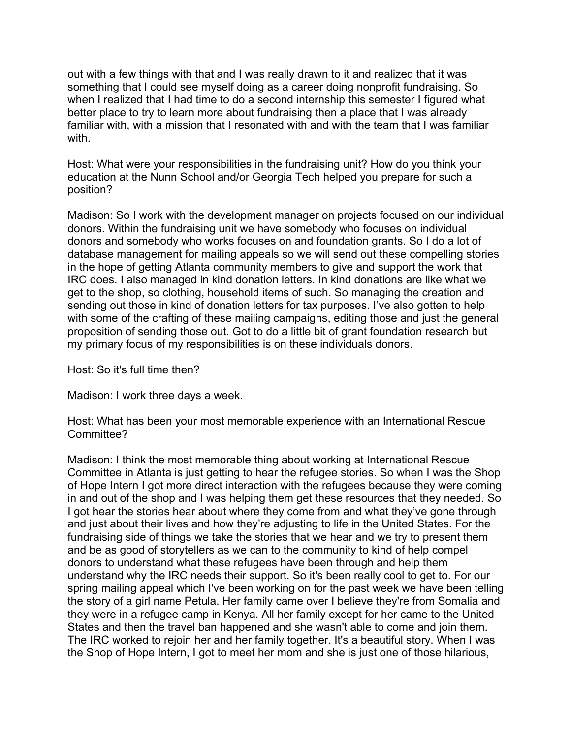out with a few things with that and I was really drawn to it and realized that it was something that I could see myself doing as a career doing nonprofit fundraising. So when I realized that I had time to do a second internship this semester I figured what better place to try to learn more about fundraising then a place that I was already familiar with, with a mission that I resonated with and with the team that I was familiar with.

Host: What were your responsibilities in the fundraising unit? How do you think your education at the Nunn School and/or Georgia Tech helped you prepare for such a position?

Madison: So I work with the development manager on projects focused on our individual donors. Within the fundraising unit we have somebody who focuses on individual donors and somebody who works focuses on and foundation grants. So I do a lot of database management for mailing appeals so we will send out these compelling stories in the hope of getting Atlanta community members to give and support the work that IRC does. I also managed in kind donation letters. In kind donations are like what we get to the shop, so clothing, household items of such. So managing the creation and sending out those in kind of donation letters for tax purposes. I've also gotten to help with some of the crafting of these mailing campaigns, editing those and just the general proposition of sending those out. Got to do a little bit of grant foundation research but my primary focus of my responsibilities is on these individuals donors.

Host: So it's full time then?

Madison: I work three days a week.

Host: What has been your most memorable experience with an International Rescue Committee?

Madison: I think the most memorable thing about working at International Rescue Committee in Atlanta is just getting to hear the refugee stories. So when I was the Shop of Hope Intern I got more direct interaction with the refugees because they were coming in and out of the shop and I was helping them get these resources that they needed. So I got hear the stories hear about where they come from and what they've gone through and just about their lives and how they're adjusting to life in the United States. For the fundraising side of things we take the stories that we hear and we try to present them and be as good of storytellers as we can to the community to kind of help compel donors to understand what these refugees have been through and help them understand why the IRC needs their support. So it's been really cool to get to. For our spring mailing appeal which I've been working on for the past week we have been telling the story of a girl name Petula. Her family came over I believe they're from Somalia and they were in a refugee camp in Kenya. All her family except for her came to the United States and then the travel ban happened and she wasn't able to come and join them. The IRC worked to rejoin her and her family together. It's a beautiful story. When I was the Shop of Hope Intern, I got to meet her mom and she is just one of those hilarious,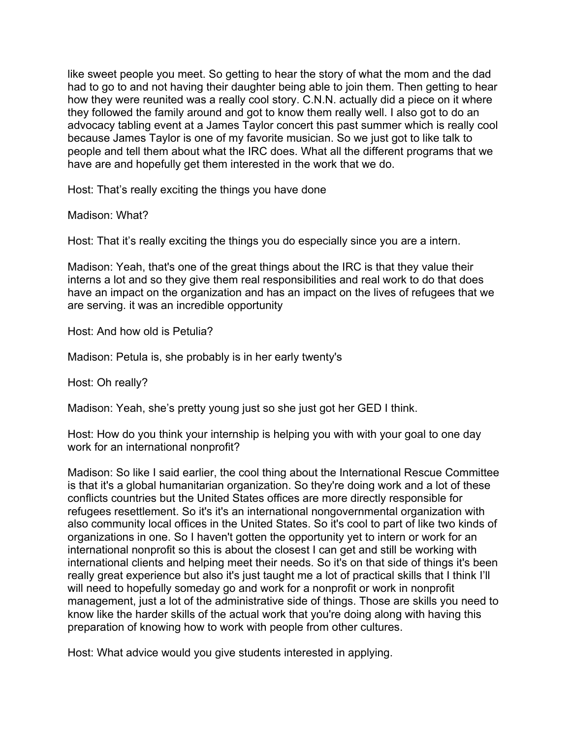like sweet people you meet. So getting to hear the story of what the mom and the dad had to go to and not having their daughter being able to join them. Then getting to hear how they were reunited was a really cool story. C.N.N. actually did a piece on it where they followed the family around and got to know them really well. I also got to do an advocacy tabling event at a James Taylor concert this past summer which is really cool because James Taylor is one of my favorite musician. So we just got to like talk to people and tell them about what the IRC does. What all the different programs that we have are and hopefully get them interested in the work that we do.

Host: That's really exciting the things you have done

Madison: What?

Host: That it's really exciting the things you do especially since you are a intern.

Madison: Yeah, that's one of the great things about the IRC is that they value their interns a lot and so they give them real responsibilities and real work to do that does have an impact on the organization and has an impact on the lives of refugees that we are serving. it was an incredible opportunity

Host: And how old is Petulia?

Madison: Petula is, she probably is in her early twenty's

Host: Oh really?

Madison: Yeah, she's pretty young just so she just got her GED I think.

Host: How do you think your internship is helping you with with your goal to one day work for an international nonprofit?

Madison: So like I said earlier, the cool thing about the International Rescue Committee is that it's a global humanitarian organization. So they're doing work and a lot of these conflicts countries but the United States offices are more directly responsible for refugees resettlement. So it's it's an international nongovernmental organization with also community local offices in the United States. So it's cool to part of like two kinds of organizations in one. So I haven't gotten the opportunity yet to intern or work for an international nonprofit so this is about the closest I can get and still be working with international clients and helping meet their needs. So it's on that side of things it's been really great experience but also it's just taught me a lot of practical skills that I think I'll will need to hopefully someday go and work for a nonprofit or work in nonprofit management, just a lot of the administrative side of things. Those are skills you need to know like the harder skills of the actual work that you're doing along with having this preparation of knowing how to work with people from other cultures.

Host: What advice would you give students interested in applying.